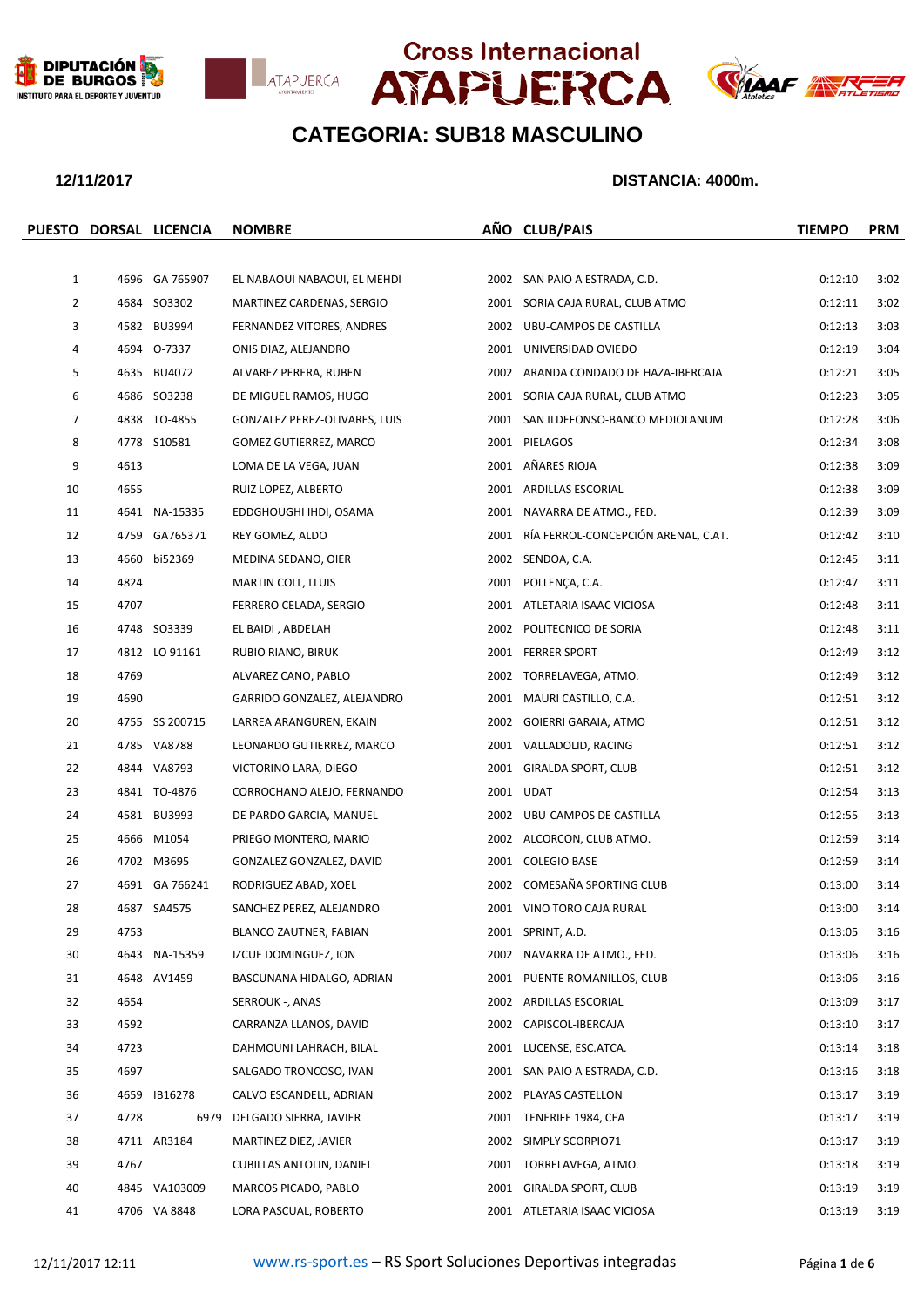







|                |      | PUESTO DORSAL LICENCIA | <b>NOMBRE</b>                   | AÑO CLUB/PAIS                            | <b>TIEMPO</b> | <b>PRM</b> |
|----------------|------|------------------------|---------------------------------|------------------------------------------|---------------|------------|
|                |      |                        |                                 |                                          |               |            |
| $\mathbf{1}$   |      | 4696 GA 765907         | EL NABAOUI NABAOUI, EL MEHDI    | 2002 SAN PAIO A ESTRADA, C.D.            | 0:12:10       | 3:02       |
| $\overline{2}$ |      | 4684 SO3302            | MARTINEZ CARDENAS, SERGIO       | 2001 SORIA CAJA RURAL, CLUB ATMO         | 0:12:11       | 3:02       |
| 3              |      | 4582 BU3994            | FERNANDEZ VITORES, ANDRES       | 2002 UBU-CAMPOS DE CASTILLA              | 0:12:13       | 3:03       |
| 4              |      | 4694 0-7337            | ONIS DIAZ, ALEJANDRO            | 2001 UNIVERSIDAD OVIEDO                  | 0:12:19       | 3:04       |
| 5              |      | 4635 BU4072            | ALVAREZ PERERA, RUBEN           | 2002 ARANDA CONDADO DE HAZA-IBERCAJA     | 0:12:21       | 3:05       |
| 6              |      | 4686 SO3238            | DE MIGUEL RAMOS, HUGO           | 2001 SORIA CAJA RURAL, CLUB ATMO         | 0:12:23       | 3:05       |
| $\overline{7}$ |      | 4838 TO-4855           | GONZALEZ PEREZ-OLIVARES, LUIS   | 2001 SAN ILDEFONSO-BANCO MEDIOLANUM      | 0:12:28       | 3:06       |
| 8              |      | 4778 S10581            | GOMEZ GUTIERREZ, MARCO          | 2001 PIELAGOS                            | 0:12:34       | 3:08       |
| 9              | 4613 |                        | LOMA DE LA VEGA, JUAN           | 2001 AÑARES RIOJA                        | 0:12:38       | 3:09       |
| 10             | 4655 |                        | RUIZ LOPEZ, ALBERTO             | 2001 ARDILLAS ESCORIAL                   | 0:12:38       | 3:09       |
| 11             |      | 4641 NA-15335          | EDDGHOUGHI IHDI, OSAMA          | 2001 NAVARRA DE ATMO., FED.              | 0:12:39       | 3:09       |
| 12             |      | 4759 GA765371          | REY GOMEZ, ALDO                 | 2001 RÍA FERROL-CONCEPCIÓN ARENAL, C.AT. | 0:12:42       | 3:10       |
| 13             |      | 4660 bi52369           | MEDINA SEDANO, OIER             | 2002 SENDOA, C.A.                        | 0:12:45       | 3:11       |
| 14             | 4824 |                        | MARTIN COLL, LLUIS              | 2001 POLLENCA, C.A.                      | 0:12:47       | 3:11       |
| 15             | 4707 |                        | FERRERO CELADA, SERGIO          | 2001 ATLETARIA ISAAC VICIOSA             | 0:12:48       | 3:11       |
| 16             |      | 4748 SO3339            | EL BAIDI, ABDELAH               | 2002 POLITECNICO DE SORIA                | 0:12:48       | 3:11       |
| 17             |      | 4812 LO 91161          | RUBIO RIANO, BIRUK              | 2001 FERRER SPORT                        | 0:12:49       | 3:12       |
| 18             | 4769 |                        | ALVAREZ CANO, PABLO             | 2002 TORRELAVEGA, ATMO.                  | 0:12:49       | 3:12       |
| 19             | 4690 |                        | GARRIDO GONZALEZ, ALEJANDRO     | 2001 MAURI CASTILLO, C.A.                | 0:12:51       | 3:12       |
| 20             |      | 4755 SS 200715         | LARREA ARANGUREN, EKAIN         | 2002 GOIERRI GARAIA, ATMO                | 0:12:51       | 3:12       |
| 21             |      | 4785 VA8788            | LEONARDO GUTIERREZ, MARCO       | 2001 VALLADOLID, RACING                  | 0:12:51       | 3:12       |
| 22             |      | 4844 VA8793            | VICTORINO LARA, DIEGO           | 2001 GIRALDA SPORT, CLUB                 | 0:12:51       | 3:12       |
| 23             |      | 4841 TO-4876           | CORROCHANO ALEJO, FERNANDO      | 2001 UDAT                                | 0:12:54       | 3:13       |
| 24             |      | 4581 BU3993            | DE PARDO GARCIA, MANUEL         | 2002 UBU-CAMPOS DE CASTILLA              | 0:12:55       | 3:13       |
| 25             |      | 4666 M1054             | PRIEGO MONTERO, MARIO           | 2002 ALCORCON, CLUB ATMO.                | 0:12:59       | 3:14       |
| 26             |      | 4702 M3695             | GONZALEZ GONZALEZ, DAVID        | 2001 COLEGIO BASE                        | 0:12:59       | 3:14       |
| 27             |      | 4691 GA 766241         | RODRIGUEZ ABAD, XOEL            | 2002 COMESAÑA SPORTING CLUB              | 0:13:00       | 3:14       |
| 28             |      | 4687 SA4575            | SANCHEZ PEREZ, ALEJANDRO        | 2001 VINO TORO CAJA RURAL                | 0:13:00       | 3:14       |
| 29             | 4753 |                        | BLANCO ZAUTNER, FABIAN          | 2001 SPRINT, A.D.                        | 0:13:05       | 3:16       |
| 30             |      | 4643 NA-15359          | IZCUE DOMINGUEZ, ION            | 2002 NAVARRA DE ATMO., FED.              | 0:13:06       | 3:16       |
| 31             |      | 4648 AV1459            | BASCUNANA HIDALGO, ADRIAN       | 2001 PUENTE ROMANILLOS, CLUB             | 0:13:06       | 3:16       |
| 32             | 4654 |                        | SERROUK -, ANAS                 | 2002 ARDILLAS ESCORIAL                   | 0:13:09       | 3:17       |
| 33             | 4592 |                        | CARRANZA LLANOS, DAVID          | 2002 CAPISCOL-IBERCAJA                   | 0:13:10       | 3:17       |
| 34             | 4723 |                        | DAHMOUNI LAHRACH, BILAL         | 2001 LUCENSE, ESC.ATCA.                  | 0:13:14       | 3:18       |
| 35             | 4697 |                        | SALGADO TRONCOSO, IVAN          | 2001 SAN PAIO A ESTRADA, C.D.            | 0:13:16       | 3:18       |
| 36             |      | 4659 IB16278           | CALVO ESCANDELL, ADRIAN         | 2002 PLAYAS CASTELLON                    | 0:13:17       | 3:19       |
| 37             | 4728 |                        | 6979 DELGADO SIERRA, JAVIER     | 2001 TENERIFE 1984, CEA                  | 0:13:17       | 3:19       |
| 38             |      | 4711 AR3184            | MARTINEZ DIEZ, JAVIER           | 2002 SIMPLY SCORPIO71                    | 0:13:17       | 3:19       |
| 39             | 4767 |                        | <b>CUBILLAS ANTOLIN, DANIEL</b> | 2001 TORRELAVEGA, ATMO.                  | 0:13:18       | 3:19       |
| 40             |      | 4845 VA103009          | MARCOS PICADO, PABLO            | 2001 GIRALDA SPORT, CLUB                 | 0:13:19       | 3:19       |
| 41             |      | 4706 VA 8848           | LORA PASCUAL, ROBERTO           | 2001 ATLETARIA ISAAC VICIOSA             | 0:13:19       | 3:19       |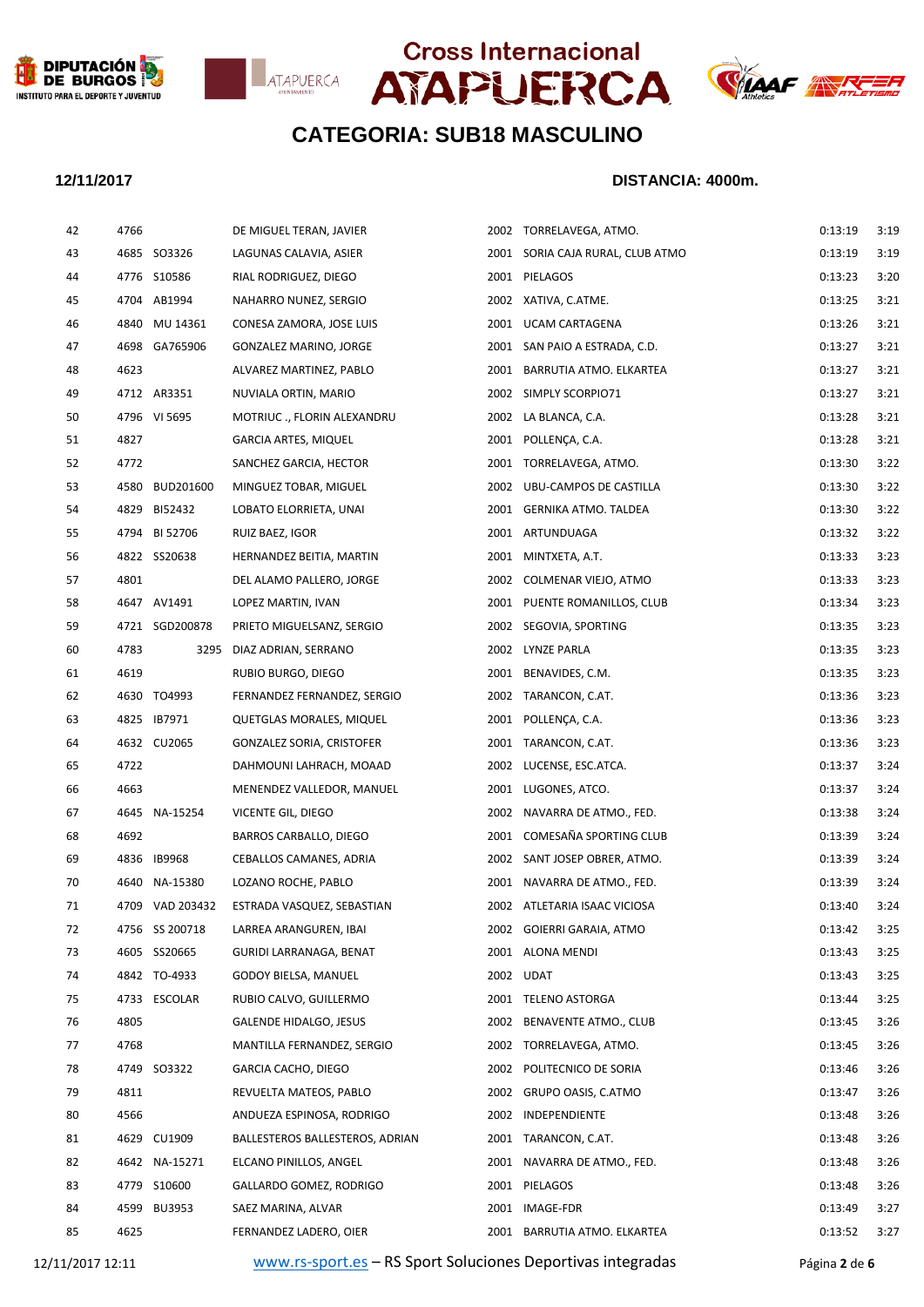







## **12/11/2017 DISTANCIA: 4000m.**

| 42 | 4766 |                 | DE MIGUEL TERAN, JAVIER          | 2002 TORRELAVEGA, ATMO.          | 0:13:19 | 3:19 |
|----|------|-----------------|----------------------------------|----------------------------------|---------|------|
| 43 |      | 4685 SO3326     | LAGUNAS CALAVIA, ASIER           | 2001 SORIA CAJA RURAL, CLUB ATMO | 0:13:19 | 3:19 |
| 44 |      | 4776 S10586     | RIAL RODRIGUEZ, DIEGO            | 2001 PIELAGOS                    | 0:13:23 | 3:20 |
| 45 |      | 4704 AB1994     | NAHARRO NUNEZ, SERGIO            | 2002 XATIVA, C.ATME.             | 0:13:25 | 3:21 |
| 46 |      | 4840 MU 14361   | CONESA ZAMORA, JOSE LUIS         | 2001 UCAM CARTAGENA              | 0:13:26 | 3:21 |
| 47 |      | 4698 GA765906   | GONZALEZ MARINO, JORGE           | 2001 SAN PAIO A ESTRADA, C.D.    | 0:13:27 | 3:21 |
| 48 | 4623 |                 | ALVAREZ MARTINEZ, PABLO          | 2001 BARRUTIA ATMO. ELKARTEA     | 0:13:27 | 3:21 |
| 49 |      | 4712 AR3351     | NUVIALA ORTIN, MARIO             | 2002 SIMPLY SCORPIO71            | 0:13:27 | 3:21 |
| 50 |      | 4796 VI 5695    | MOTRIUC ., FLORIN ALEXANDRU      | 2002 LA BLANCA, C.A.             | 0:13:28 | 3:21 |
| 51 | 4827 |                 | <b>GARCIA ARTES, MIQUEL</b>      | 2001 POLLENCA, C.A.              | 0:13:28 | 3:21 |
| 52 | 4772 |                 | SANCHEZ GARCIA, HECTOR           | 2001 TORRELAVEGA, ATMO.          | 0:13:30 | 3:22 |
| 53 | 4580 | BUD201600       | MINGUEZ TOBAR, MIGUEL            | 2002 UBU-CAMPOS DE CASTILLA      | 0:13:30 | 3:22 |
| 54 | 4829 | BI52432         | LOBATO ELORRIETA, UNAI           | 2001 GERNIKA ATMO. TALDEA        | 0:13:30 | 3:22 |
| 55 |      | 4794 BI 52706   | RUIZ BAEZ, IGOR                  | 2001 ARTUNDUAGA                  | 0:13:32 | 3:22 |
| 56 |      | 4822 SS20638    | HERNANDEZ BEITIA, MARTIN         | 2001 MINTXETA, A.T.              | 0:13:33 | 3:23 |
| 57 | 4801 |                 | DEL ALAMO PALLERO, JORGE         | 2002 COLMENAR VIEJO, ATMO        | 0:13:33 | 3:23 |
| 58 |      | 4647 AV1491     | LOPEZ MARTIN, IVAN               | 2001 PUENTE ROMANILLOS, CLUB     | 0:13:34 | 3:23 |
| 59 |      | 4721 SGD200878  | PRIETO MIGUELSANZ, SERGIO        | 2002 SEGOVIA, SPORTING           | 0:13:35 | 3:23 |
| 60 | 4783 | 3295            | DIAZ ADRIAN, SERRANO             | 2002 LYNZE PARLA                 | 0:13:35 | 3:23 |
| 61 | 4619 |                 | RUBIO BURGO, DIEGO               | 2001 BENAVIDES, C.M.             | 0:13:35 | 3:23 |
| 62 |      | 4630 TO4993     | FERNANDEZ FERNANDEZ, SERGIO      | 2002 TARANCON, C.AT.             | 0:13:36 | 3:23 |
| 63 |      | 4825 IB7971     | QUETGLAS MORALES, MIQUEL         | 2001 POLLENÇA, C.A.              | 0:13:36 | 3:23 |
| 64 |      | 4632 CU2065     | <b>GONZALEZ SORIA, CRISTOFER</b> | 2001 TARANCON, C.AT.             | 0:13:36 | 3:23 |
| 65 | 4722 |                 | DAHMOUNI LAHRACH, MOAAD          | 2002 LUCENSE, ESC.ATCA.          | 0:13:37 | 3:24 |
| 66 | 4663 |                 | MENENDEZ VALLEDOR, MANUEL        | 2001 LUGONES, ATCO.              | 0:13:37 | 3:24 |
| 67 |      | 4645 NA-15254   | VICENTE GIL, DIEGO               | 2002 NAVARRA DE ATMO., FED.      | 0:13:38 | 3:24 |
| 68 | 4692 |                 | <b>BARROS CARBALLO, DIEGO</b>    | 2001 COMESAÑA SPORTING CLUB      | 0:13:39 | 3:24 |
| 69 |      | 4836 IB9968     | CEBALLOS CAMANES, ADRIA          | 2002 SANT JOSEP OBRER, ATMO.     | 0:13:39 | 3:24 |
| 70 | 4640 | NA-15380        | LOZANO ROCHE, PABLO              | 2001 NAVARRA DE ATMO., FED.      | 0:13:39 | 3:24 |
| 71 |      | 4709 VAD 203432 | ESTRADA VASQUEZ, SEBASTIAN       | 2002 ATLETARIA ISAAC VICIOSA     | 0:13:40 | 3:24 |
| 72 |      | 4756 SS 200718  | LARREA ARANGUREN, IBAI           | 2002 GOIERRI GARAIA, ATMO        | 0:13:42 | 3:25 |
| 73 |      | 4605 SS20665    | GURIDI LARRANAGA, BENAT          | 2001 ALONA MENDI                 | 0:13:43 | 3:25 |
| 74 |      | 4842 TO-4933    | GODOY BIELSA, MANUEL             | 2002 UDAT                        | 0:13:43 | 3:25 |
| 75 |      | 4733 ESCOLAR    | RUBIO CALVO, GUILLERMO           | 2001 TELENO ASTORGA              | 0:13:44 | 3:25 |
| 76 | 4805 |                 | GALENDE HIDALGO, JESUS           | 2002 BENAVENTE ATMO., CLUB       | 0:13:45 | 3:26 |
| 77 | 4768 |                 | MANTILLA FERNANDEZ, SERGIO       | 2002 TORRELAVEGA, ATMO.          | 0:13:45 | 3:26 |
| 78 |      | 4749 SO3322     | GARCIA CACHO, DIEGO              | 2002 POLITECNICO DE SORIA        | 0:13:46 | 3:26 |
| 79 | 4811 |                 | REVUELTA MATEOS, PABLO           | 2002 GRUPO OASIS, C.ATMO         | 0:13:47 | 3:26 |
| 80 | 4566 |                 | ANDUEZA ESPINOSA, RODRIGO        | 2002 INDEPENDIENTE               | 0:13:48 | 3:26 |
| 81 |      | 4629 CU1909     | BALLESTEROS BALLESTEROS, ADRIAN  | 2001 TARANCON, C.AT.             | 0:13:48 | 3:26 |
| 82 |      | 4642 NA-15271   | ELCANO PINILLOS, ANGEL           | 2001 NAVARRA DE ATMO., FED.      | 0:13:48 | 3:26 |
| 83 |      | 4779 S10600     | GALLARDO GOMEZ, RODRIGO          | 2001 PIELAGOS                    | 0:13:48 | 3:26 |
| 84 | 4599 | <b>BU3953</b>   | SAEZ MARINA, ALVAR               | 2001 IMAGE-FDR                   | 0:13:49 | 3:27 |
| 85 | 4625 |                 | FERNANDEZ LADERO, OIER           | 2001 BARRUTIA ATMO. ELKARTEA     | 0:13:52 | 3:27 |
|    |      |                 |                                  |                                  |         |      |

12/11/2017 12:11 [www.rs-sport.es](http://www.rs-sport.es/) – RS Sport Soluciones Deportivas integradas Página **2** de **6**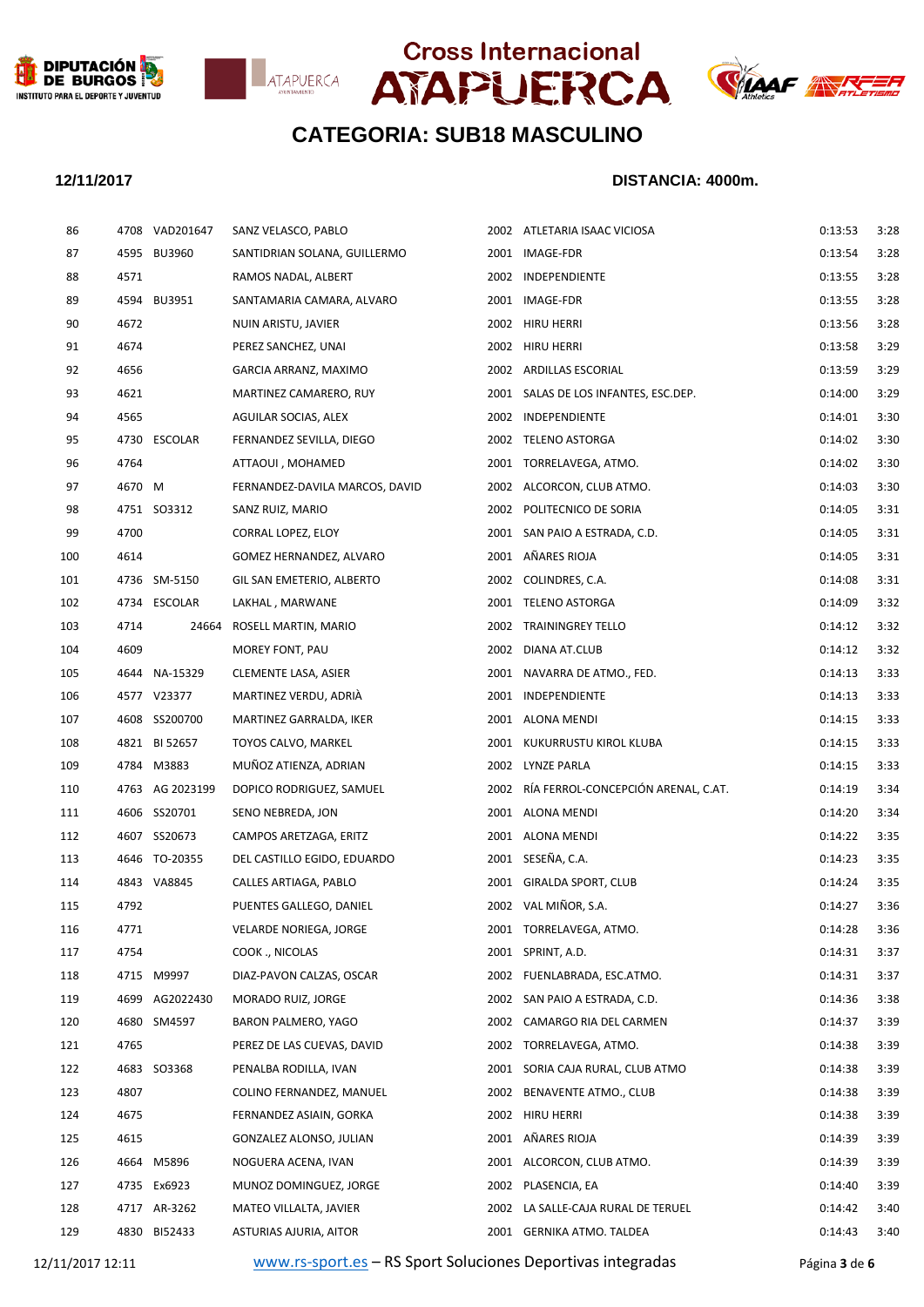







| 86  |        | 4708 VAD201647  | SANZ VELASCO, PABLO            | 2002 ATLETARIA ISAAC VICIOSA             | 0:13:53 | 3:28 |
|-----|--------|-----------------|--------------------------------|------------------------------------------|---------|------|
| 87  |        | 4595 BU3960     | SANTIDRIAN SOLANA, GUILLERMO   | 2001 IMAGE-FDR                           | 0:13:54 | 3:28 |
| 88  | 4571   |                 | RAMOS NADAL, ALBERT            | 2002 INDEPENDIENTE                       | 0:13:55 | 3:28 |
| 89  |        | 4594 BU3951     | SANTAMARIA CAMARA, ALVARO      | 2001 IMAGE-FDR                           | 0:13:55 | 3:28 |
| 90  | 4672   |                 | NUIN ARISTU, JAVIER            | 2002 HIRU HERRI                          | 0:13:56 | 3:28 |
| 91  | 4674   |                 | PEREZ SANCHEZ, UNAI            | 2002 HIRU HERRI                          | 0:13:58 | 3:29 |
| 92  | 4656   |                 | GARCIA ARRANZ, MAXIMO          | 2002 ARDILLAS ESCORIAL                   | 0:13:59 | 3:29 |
| 93  | 4621   |                 | MARTINEZ CAMARERO, RUY         | 2001 SALAS DE LOS INFANTES, ESC.DEP.     | 0:14:00 | 3:29 |
| 94  | 4565   |                 | AGUILAR SOCIAS, ALEX           | 2002 INDEPENDIENTE                       | 0:14:01 | 3:3C |
| 95  |        | 4730 ESCOLAR    | FERNANDEZ SEVILLA, DIEGO       | 2002 TELENO ASTORGA                      | 0:14:02 | 3:3C |
| 96  | 4764   |                 | ATTAOUI, MOHAMED               | 2001 TORRELAVEGA, ATMO.                  | 0:14:02 | 3:3C |
| 97  | 4670 M |                 | FERNANDEZ-DAVILA MARCOS, DAVID | 2002 ALCORCON, CLUB ATMO.                | 0:14:03 | 3:3C |
| 98  |        | 4751 SO3312     | SANZ RUIZ, MARIO               | 2002 POLITECNICO DE SORIA                | 0:14:05 | 3:31 |
| 99  | 4700   |                 | CORRAL LOPEZ, ELOY             | 2001 SAN PAIO A ESTRADA, C.D.            | 0:14:05 | 3:31 |
| 100 | 4614   |                 | GOMEZ HERNANDEZ, ALVARO        | 2001 AÑARES RIOJA                        | 0:14:05 | 3:31 |
| 101 |        | 4736 SM-5150    | GIL SAN EMETERIO, ALBERTO      | 2002 COLINDRES, C.A.                     | 0:14:08 | 3:31 |
| 102 |        | 4734 ESCOLAR    | LAKHAL, MARWANE                | 2001 TELENO ASTORGA                      | 0:14:09 | 3:32 |
| 103 | 4714   | 24664           | ROSELL MARTIN, MARIO           | 2002 TRAININGREY TELLO                   | 0:14:12 | 3:32 |
| 104 | 4609   |                 | MOREY FONT, PAU                | 2002 DIANA AT.CLUB                       | 0:14:12 | 3:32 |
| 105 |        | 4644 NA-15329   | CLEMENTE LASA, ASIER           | 2001 NAVARRA DE ATMO., FED.              | 0:14:13 | 3:33 |
| 106 |        | 4577 V23377     | MARTINEZ VERDU, ADRIA          | 2001 INDEPENDIENTE                       | 0:14:13 | 3:33 |
| 107 |        | 4608 SS200700   | MARTINEZ GARRALDA, IKER        | 2001 ALONA MENDI                         | 0:14:15 | 3:33 |
| 108 |        | 4821 BI 52657   | TOYOS CALVO, MARKEL            | 2001 KUKURRUSTU KIROL KLUBA              | 0:14:15 | 3:33 |
| 109 |        | 4784 M3883      | MUÑOZ ATIENZA, ADRIAN          | 2002 LYNZE PARLA                         | 0:14:15 | 3:33 |
| 110 |        | 4763 AG 2023199 | DOPICO RODRIGUEZ, SAMUEL       | 2002 RÍA FERROL-CONCEPCIÓN ARENAL, C.AT. | 0:14:19 | 3:34 |
| 111 |        | 4606 SS20701    | SENO NEBREDA, JON              | 2001 ALONA MENDI                         | 0:14:20 | 3:34 |
| 112 |        | 4607 SS20673    | CAMPOS ARETZAGA, ERITZ         | 2001 ALONA MENDI                         | 0:14:22 | 3:35 |
| 113 |        | 4646 TO-20355   | DEL CASTILLO EGIDO, EDUARDO    | 2001 SESEÑA, C.A.                        | 0:14:23 | 3:35 |
| 114 |        | 4843 VA8845     | CALLES ARTIAGA, PABLO          | 2001 GIRALDA SPORT, CLUB                 | 0:14:24 | 3:35 |
| 115 | 4792   |                 | PUENTES GALLEGO, DANIEL        | 2002 VAL MIÑOR, S.A.                     | 0:14:27 | 3:36 |
| 116 | 4771   |                 | VELARDE NORIEGA, JORGE         | 2001 TORRELAVEGA, ATMO.                  | 0:14:28 | 3:36 |
| 117 | 4754   |                 | COOK ., NICOLAS                | 2001 SPRINT, A.D.                        | 0:14:31 | 3:37 |
| 118 |        | 4715 M9997      | DIAZ-PAVON CALZAS, OSCAR       | 2002 FUENLABRADA, ESC.ATMO.              | 0:14:31 | 3:37 |
| 119 |        | 4699 AG2022430  | MORADO RUIZ, JORGE             | 2002 SAN PAIO A ESTRADA, C.D.            | 0:14:36 | 3:38 |
| 120 |        | 4680 SM4597     | BARON PALMERO, YAGO            | 2002 CAMARGO RIA DEL CARMEN              | 0:14:37 | 3:39 |
| 121 | 4765   |                 | PEREZ DE LAS CUEVAS, DAVID     | 2002 TORRELAVEGA, ATMO.                  | 0:14:38 | 3:39 |
| 122 |        | 4683 SO3368     | PENALBA RODILLA, IVAN          | 2001 SORIA CAJA RURAL, CLUB ATMO         | 0:14:38 | 3:39 |
| 123 | 4807   |                 | COLINO FERNANDEZ, MANUEL       | 2002 BENAVENTE ATMO., CLUB               | 0:14:38 | 3:39 |
| 124 | 4675   |                 | FERNANDEZ ASIAIN, GORKA        | 2002 HIRU HERRI                          | 0:14:38 | 3:39 |
| 125 | 4615   |                 | GONZALEZ ALONSO, JULIAN        | 2001 AÑARES RIOJA                        | 0:14:39 | 3:39 |
| 126 |        | 4664 M5896      | NOGUERA ACENA, IVAN            | 2001 ALCORCON, CLUB ATMO.                | 0:14:39 | 3:39 |
| 127 |        | 4735 Ex6923     | MUNOZ DOMINGUEZ, JORGE         | 2002 PLASENCIA, EA                       | 0:14:40 | 3:39 |
| 128 |        | 4717 AR-3262    | MATEO VILLALTA, JAVIER         | 2002 LA SALLE-CAJA RURAL DE TERUEL       | 0:14:42 | 3:40 |
| 129 |        | 4830 BI52433    | ASTURIAS AJURIA, AITOR         | 2001 GERNIKA ATMO. TALDEA                | 0:14:43 | 3:40 |
|     |        |                 |                                |                                          |         |      |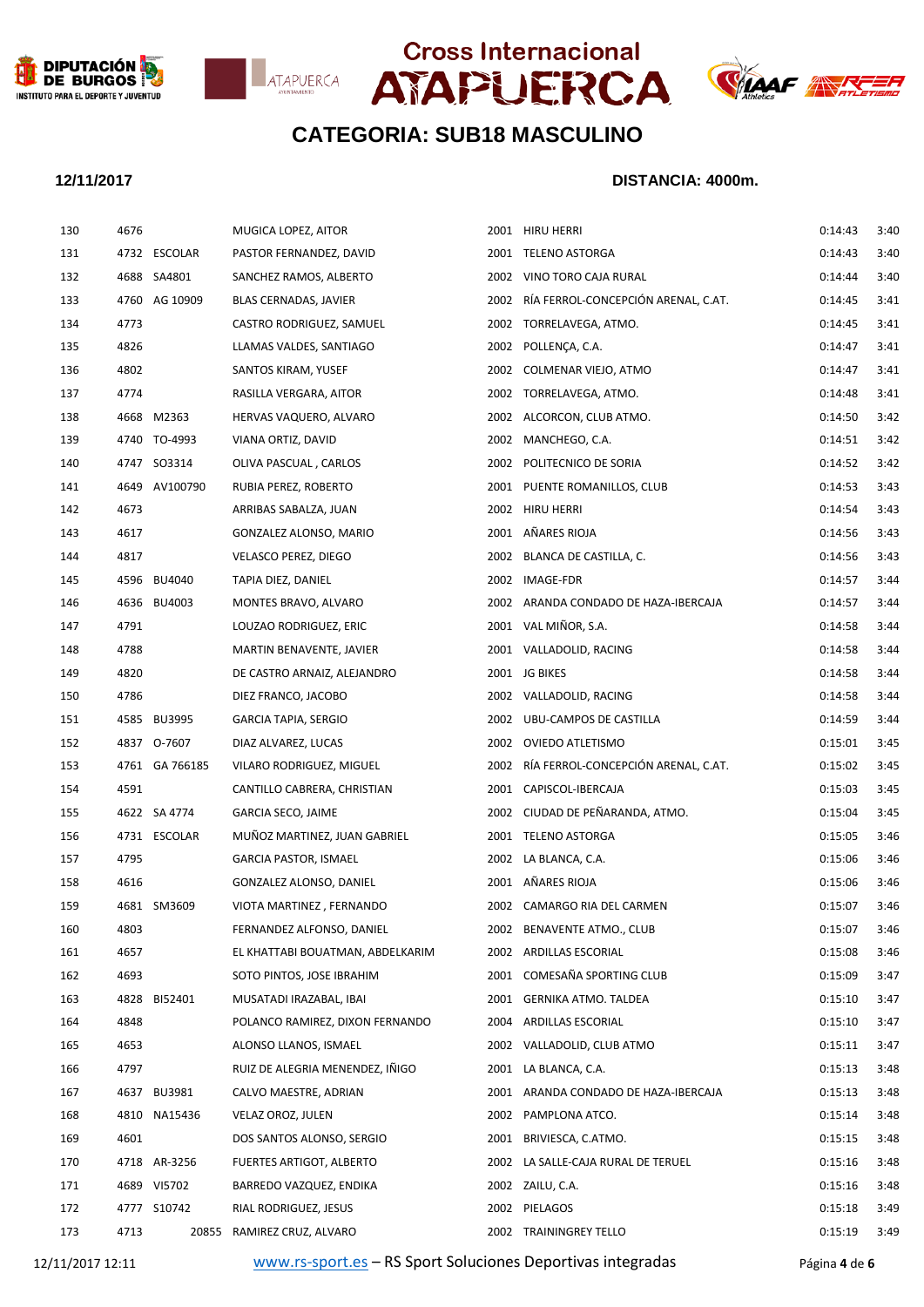







| 130 | 4676 |                | MUGICA LOPEZ, AITOR              | 2001 HIRU HERRI                          | 0:14:43 | 3:40 |
|-----|------|----------------|----------------------------------|------------------------------------------|---------|------|
| 131 |      | 4732 ESCOLAR   | PASTOR FERNANDEZ, DAVID          | 2001 TELENO ASTORGA                      | 0:14:43 | 3:40 |
| 132 |      | 4688 SA4801    | SANCHEZ RAMOS, ALBERTO           | 2002 VINO TORO CAJA RURAL                | 0:14:44 | 3:40 |
| 133 |      | 4760 AG 10909  | BLAS CERNADAS, JAVIER            | 2002 RÍA FERROL-CONCEPCIÓN ARENAL, C.AT. | 0:14:45 | 3:41 |
| 134 | 4773 |                | CASTRO RODRIGUEZ, SAMUEL         | 2002 TORRELAVEGA, ATMO.                  | 0:14:45 | 3:41 |
| 135 | 4826 |                | LLAMAS VALDES, SANTIAGO          | 2002 POLLENÇA, C.A.                      | 0:14:47 | 3:41 |
| 136 | 4802 |                | SANTOS KIRAM, YUSEF              | 2002 COLMENAR VIEJO, ATMO                | 0:14:47 | 3:41 |
| 137 | 4774 |                | RASILLA VERGARA, AITOR           | 2002 TORRELAVEGA, ATMO.                  | 0:14:48 | 3:41 |
| 138 |      | 4668 M2363     | HERVAS VAQUERO, ALVARO           | 2002 ALCORCON, CLUB ATMO.                | 0:14:50 | 3:42 |
| 139 |      | 4740 TO-4993   | VIANA ORTIZ, DAVID               | 2002 MANCHEGO, C.A.                      | 0:14:51 | 3:42 |
| 140 |      | 4747 SO3314    | OLIVA PASCUAL, CARLOS            | 2002 POLITECNICO DE SORIA                | 0:14:52 | 3:42 |
| 141 |      | 4649 AV100790  | RUBIA PEREZ, ROBERTO             | 2001 PUENTE ROMANILLOS, CLUB             | 0:14:53 | 3:43 |
| 142 | 4673 |                | ARRIBAS SABALZA, JUAN            | 2002 HIRU HERRI                          | 0:14:54 | 3:43 |
| 143 | 4617 |                | GONZALEZ ALONSO, MARIO           | 2001 AÑARES RIOJA                        | 0:14:56 | 3:43 |
| 144 | 4817 |                | VELASCO PEREZ, DIEGO             | 2002 BLANCA DE CASTILLA, C.              | 0:14:56 | 3:43 |
| 145 |      | 4596 BU4040    | TAPIA DIEZ, DANIEL               | 2002 IMAGE-FDR                           | 0:14:57 | 3:44 |
| 146 |      | 4636 BU4003    | MONTES BRAVO, ALVARO             | 2002 ARANDA CONDADO DE HAZA-IBERCAJA     | 0:14:57 | 3:44 |
| 147 | 4791 |                | LOUZAO RODRIGUEZ, ERIC           | 2001 VAL MIÑOR, S.A.                     | 0:14:58 | 3:44 |
| 148 | 4788 |                | MARTIN BENAVENTE, JAVIER         | 2001 VALLADOLID, RACING                  | 0:14:58 | 3:44 |
| 149 | 4820 |                | DE CASTRO ARNAIZ, ALEJANDRO      | 2001 JG BIKES                            | 0:14:58 | 3:44 |
| 150 | 4786 |                | DIEZ FRANCO, JACOBO              | 2002 VALLADOLID, RACING                  | 0:14:58 | 3:44 |
| 151 |      | 4585 BU3995    | <b>GARCIA TAPIA, SERGIO</b>      | 2002 UBU-CAMPOS DE CASTILLA              | 0:14:59 | 3:44 |
| 152 |      | 4837 0-7607    | DIAZ ALVAREZ, LUCAS              | 2002 OVIEDO ATLETISMO                    | 0:15:01 | 3:45 |
| 153 |      | 4761 GA 766185 | VILARO RODRIGUEZ, MIGUEL         | 2002 RÍA FERROL-CONCEPCIÓN ARENAL, C.AT. | 0:15:02 | 3:45 |
| 154 | 4591 |                | CANTILLO CABRERA, CHRISTIAN      | 2001 CAPISCOL-IBERCAJA                   | 0:15:03 | 3:45 |
| 155 |      | 4622 SA 4774   | <b>GARCIA SECO, JAIME</b>        | 2002 CIUDAD DE PEÑARANDA, ATMO.          | 0:15:04 | 3:45 |
| 156 |      | 4731 ESCOLAR   | MUÑOZ MARTINEZ, JUAN GABRIEL     | 2001 TELENO ASTORGA                      | 0:15:05 | 3:46 |
| 157 | 4795 |                | <b>GARCIA PASTOR, ISMAEL</b>     | 2002 LA BLANCA, C.A.                     | 0:15:06 | 3:46 |
| 158 | 4616 |                | GONZALEZ ALONSO, DANIEL          | 2001 AÑARES RIOJA                        | 0:15:06 | 3:46 |
| 159 |      | 4681 SM3609    | VIOTA MARTINEZ, FERNANDO         | 2002 CAMARGO RIA DEL CARMEN              | 0:15:07 | 3:46 |
| 160 | 4803 |                | FERNANDEZ ALFONSO, DANIEL        | 2002 BENAVENTE ATMO., CLUB               | 0:15:07 | 3:46 |
| 161 | 4657 |                | EL KHATTABI BOUATMAN, ABDELKARIM | 2002 ARDILLAS ESCORIAL                   | 0:15:08 | 3:46 |
| 162 | 4693 |                | SOTO PINTOS, JOSE IBRAHIM        | 2001 COMESAÑA SPORTING CLUB              | 0:15:09 | 3:47 |
| 163 | 4828 | BI52401        | MUSATADI IRAZABAL, IBAI          | 2001 GERNIKA ATMO. TALDEA                | 0:15:10 | 3:47 |
| 164 | 4848 |                | POLANCO RAMIREZ, DIXON FERNANDO  | 2004 ARDILLAS ESCORIAL                   | 0:15:10 | 3:47 |
| 165 | 4653 |                | ALONSO LLANOS, ISMAEL            | 2002 VALLADOLID, CLUB ATMO               | 0:15:11 | 3:47 |
| 166 | 4797 |                | RUIZ DE ALEGRIA MENENDEZ, IÑIGO  | 2001 LA BLANCA, C.A.                     | 0:15:13 | 3:48 |
| 167 |      | 4637 BU3981    | CALVO MAESTRE, ADRIAN            | 2001 ARANDA CONDADO DE HAZA-IBERCAJA     | 0:15:13 | 3:48 |
| 168 |      | 4810 NA15436   | VELAZ OROZ, JULEN                | 2002 PAMPLONA ATCO.                      | 0:15:14 | 3:48 |
| 169 | 4601 |                | DOS SANTOS ALONSO, SERGIO        | 2001 BRIVIESCA, C.ATMO.                  | 0:15:15 | 3:48 |
| 170 |      | 4718 AR-3256   | FUERTES ARTIGOT, ALBERTO         | 2002 LA SALLE-CAJA RURAL DE TERUEL       | 0:15:16 | 3:48 |
| 171 |      | 4689 VI5702    | BARREDO VAZQUEZ, ENDIKA          | 2002 ZAILU, C.A.                         | 0:15:16 | 3:48 |
| 172 |      | 4777 S10742    | RIAL RODRIGUEZ, JESUS            | 2002 PIELAGOS                            | 0:15:18 | 3:49 |
| 173 | 4713 |                | 20855 RAMIREZ CRUZ, ALVARO       | 2002 TRAININGREY TELLO                   | 0:15:19 | 3:49 |
|     |      |                |                                  |                                          |         |      |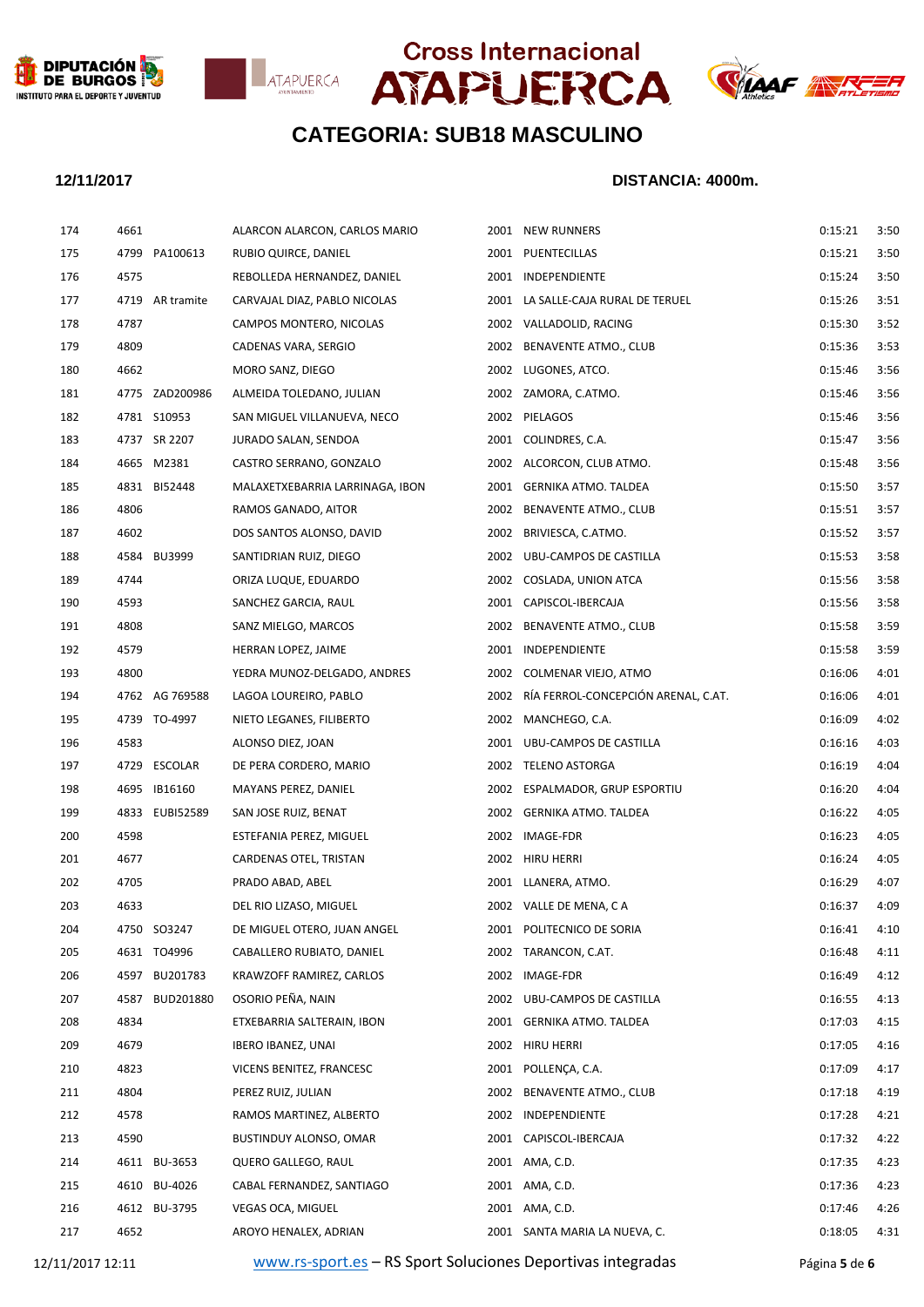







## **12/11/2017 DISTANCIA: 4000m.**

| 174 | 4661 |                 | ALARCON ALARCON, CARLOS MARIO   | 2001 NEW RUNNERS                         | 0:15:21 | 3:50 |
|-----|------|-----------------|---------------------------------|------------------------------------------|---------|------|
| 175 |      | 4799 PA100613   | RUBIO QUIRCE, DANIEL            | 2001 PUENTECILLAS                        | 0:15:21 | 3:50 |
| 176 | 4575 |                 | REBOLLEDA HERNANDEZ, DANIEL     | 2001 INDEPENDIENTE                       | 0:15:24 | 3:50 |
| 177 |      | 4719 AR tramite | CARVAJAL DIAZ, PABLO NICOLAS    | 2001 LA SALLE-CAJA RURAL DE TERUEL       | 0:15:26 | 3:51 |
| 178 | 4787 |                 | CAMPOS MONTERO, NICOLAS         | 2002 VALLADOLID, RACING                  | 0:15:30 | 3:52 |
| 179 | 4809 |                 | CADENAS VARA, SERGIO            | 2002 BENAVENTE ATMO., CLUB               | 0:15:36 | 3:53 |
| 180 | 4662 |                 | MORO SANZ, DIEGO                | 2002 LUGONES, ATCO.                      | 0:15:46 | 3:56 |
| 181 |      | 4775 ZAD200986  | ALMEIDA TOLEDANO, JULIAN        | 2002 ZAMORA, C.ATMO.                     | 0:15:46 | 3:56 |
| 182 |      | 4781 S10953     | SAN MIGUEL VILLANUEVA, NECO     | 2002 PIELAGOS                            | 0:15:46 | 3:56 |
| 183 |      | 4737 SR 2207    | JURADO SALAN, SENDOA            | 2001 COLINDRES, C.A.                     | 0:15:47 | 3:56 |
| 184 |      | 4665 M2381      | CASTRO SERRANO, GONZALO         | 2002 ALCORCON, CLUB ATMO.                | 0:15:48 | 3:56 |
| 185 |      | 4831 BI52448    | MALAXETXEBARRIA LARRINAGA, IBON | 2001 GERNIKA ATMO. TALDEA                | 0:15:50 | 3:57 |
| 186 | 4806 |                 | RAMOS GANADO, AITOR             | 2002 BENAVENTE ATMO., CLUB               | 0:15:51 | 3:57 |
| 187 | 4602 |                 | DOS SANTOS ALONSO, DAVID        | 2002 BRIVIESCA, C.ATMO.                  | 0:15:52 | 3:57 |
| 188 |      | 4584 BU3999     | SANTIDRIAN RUIZ, DIEGO          | 2002 UBU-CAMPOS DE CASTILLA              | 0:15:53 | 3:58 |
| 189 | 4744 |                 | ORIZA LUQUE, EDUARDO            | 2002 COSLADA, UNION ATCA                 | 0:15:56 | 3:58 |
| 190 | 4593 |                 | SANCHEZ GARCIA, RAUL            | 2001 CAPISCOL-IBERCAJA                   | 0:15:56 | 3:58 |
| 191 | 4808 |                 | SANZ MIELGO, MARCOS             | 2002 BENAVENTE ATMO., CLUB               | 0:15:58 | 3:59 |
| 192 | 4579 |                 | HERRAN LOPEZ, JAIME             | 2001 INDEPENDIENTE                       | 0:15:58 | 3:59 |
| 193 | 4800 |                 | YEDRA MUNOZ-DELGADO, ANDRES     | 2002 COLMENAR VIEJO, ATMO                | 0:16:06 | 4:01 |
| 194 |      | 4762 AG 769588  | LAGOA LOUREIRO, PABLO           | 2002 RÍA FERROL-CONCEPCIÓN ARENAL, C.AT. | 0:16:06 | 4:01 |
| 195 |      | 4739 TO-4997    | NIETO LEGANES, FILIBERTO        | 2002 MANCHEGO, C.A.                      | 0:16:09 | 4:02 |
| 196 | 4583 |                 | ALONSO DIEZ, JOAN               | 2001 UBU-CAMPOS DE CASTILLA              | 0:16:16 | 4:03 |
| 197 |      | 4729 ESCOLAR    | DE PERA CORDERO, MARIO          | 2002 TELENO ASTORGA                      | 0:16:19 | 4:04 |
| 198 |      | 4695 IB16160    | MAYANS PEREZ, DANIEL            | 2002 ESPALMADOR, GRUP ESPORTIU           | 0:16:20 | 4:04 |
| 199 |      | 4833 EUBI52589  | SAN JOSE RUIZ, BENAT            | 2002 GERNIKA ATMO. TALDEA                | 0:16:22 | 4:05 |
| 200 | 4598 |                 | ESTEFANIA PEREZ, MIGUEL         | 2002 IMAGE-FDR                           | 0:16:23 | 4:05 |
| 201 | 4677 |                 | CARDENAS OTEL, TRISTAN          | 2002 HIRU HERRI                          | 0:16:24 | 4:05 |
| 202 | 4705 |                 | PRADO ABAD, ABEL                | 2001 LLANERA, ATMO.                      | 0:16:29 | 4:07 |
| 203 | 4633 |                 | DEL RIO LIZASO, MIGUEL          | 2002 VALLE DE MENA, C A                  | 0:16:37 | 4:09 |
| 204 |      | 4750 SO3247     | DE MIGUEL OTERO, JUAN ANGEL     | 2001 POLITECNICO DE SORIA                | 0:16:41 | 4:10 |
| 205 |      | 4631 TO4996     | CABALLERO RUBIATO, DANIEL       | 2002 TARANCON, C.AT.                     | 0:16:48 | 4:11 |
| 206 | 4597 | BU201783        | KRAWZOFF RAMIREZ, CARLOS        | 2002 IMAGE-FDR                           | 0:16:49 | 4:12 |
| 207 | 4587 | BUD201880       | OSORIO PEÑA, NAIN               | 2002 UBU-CAMPOS DE CASTILLA              | 0:16:55 | 4:13 |
| 208 | 4834 |                 | ETXEBARRIA SALTERAIN, IBON      | 2001 GERNIKA ATMO. TALDEA                | 0:17:03 | 4:15 |
| 209 | 4679 |                 | <b>IBERO IBANEZ, UNAI</b>       | 2002 HIRU HERRI                          | 0:17:05 | 4:16 |
| 210 | 4823 |                 | VICENS BENITEZ, FRANCESC        | 2001 POLLENÇA, C.A.                      | 0:17:09 | 4:17 |
| 211 | 4804 |                 | PEREZ RUIZ, JULIAN              | 2002 BENAVENTE ATMO., CLUB               | 0:17:18 | 4:19 |
| 212 | 4578 |                 | RAMOS MARTINEZ, ALBERTO         | 2002 INDEPENDIENTE                       | 0:17:28 | 4:21 |
| 213 | 4590 |                 | BUSTINDUY ALONSO, OMAR          | 2001 CAPISCOL-IBERCAJA                   | 0:17:32 | 4:22 |
| 214 |      | 4611 BU-3653    | QUERO GALLEGO, RAUL             | 2001 AMA, C.D.                           | 0:17:35 | 4:23 |
| 215 |      | 4610 BU-4026    | CABAL FERNANDEZ, SANTIAGO       | 2001 AMA, C.D.                           | 0:17:36 | 4:23 |
| 216 |      | 4612 BU-3795    | VEGAS OCA, MIGUEL               | 2001 AMA, C.D.                           | 0:17:46 | 4:26 |
| 217 | 4652 |                 | AROYO HENALEX, ADRIAN           | 2001 SANTA MARIA LA NUEVA, C.            | 0:18:05 | 4:31 |
|     |      |                 |                                 |                                          |         |      |

12/11/2017 12:11 [www.rs-sport.es](http://www.rs-sport.es/) – RS Sport Soluciones Deportivas integradas Página **5** de **6**